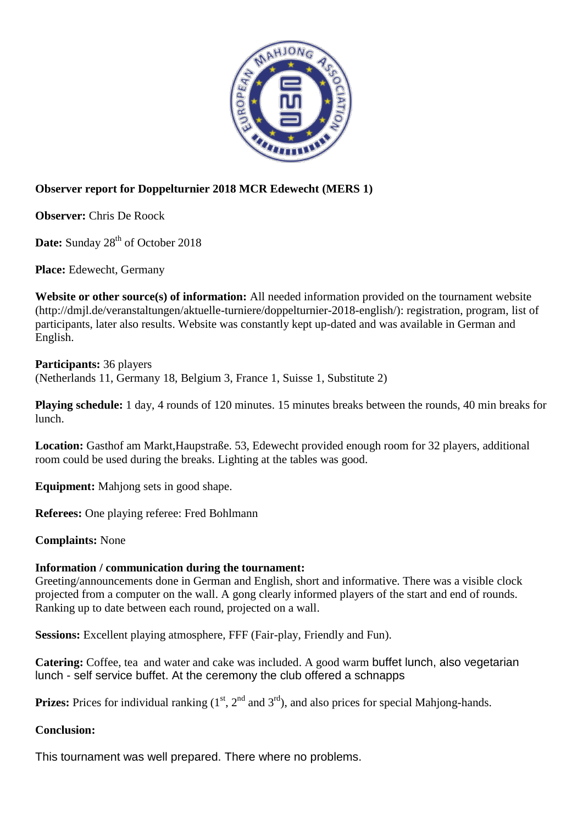

## **Observer report for Doppelturnier 2018 MCR Edewecht (MERS 1)**

**Observer:** Chris De Roock

Date: Sunday 28<sup>th</sup> of October 2018

**Place:** Edewecht, Germany

**Website or other source(s) of information:** All needed information provided on the tournament website (http://dmjl.de/veranstaltungen/aktuelle-turniere/doppelturnier-2018-english/): registration, program, list of participants, later also results. Website was constantly kept up-dated and was available in German and English.

**Participants:** 36 players (Netherlands 11, Germany 18, Belgium 3, France 1, Suisse 1, Substitute 2)

**Playing schedule:** 1 day, 4 rounds of 120 minutes. 15 minutes breaks between the rounds, 40 min breaks for lunch.

**Location:** Gasthof am Markt,Haupstraße. 53, Edewecht provided enough room for 32 players, additional room could be used during the breaks. Lighting at the tables was good.

**Equipment:** Mahjong sets in good shape.

**Referees:** One playing referee: Fred Bohlmann

**Complaints:** None

## **Information / communication during the tournament:**

Greeting/announcements done in German and English, short and informative. There was a visible clock projected from a computer on the wall. A gong clearly informed players of the start and end of rounds. Ranking up to date between each round, projected on a wall.

**Sessions:** Excellent playing atmosphere, FFF (Fair-play, Friendly and Fun).

**Catering:** Coffee, tea and water and cake was included. A good warm buffet lunch, also vegetarian lunch - self service buffet. At the ceremony the club offered a schnapps

**Prizes:** Prices for individual ranking  $(1<sup>st</sup>, 2<sup>nd</sup>$  and  $3<sup>rd</sup>)$ , and also prices for special Mahiong-hands.

## **Conclusion:**

This tournament was well prepared. There where no problems.